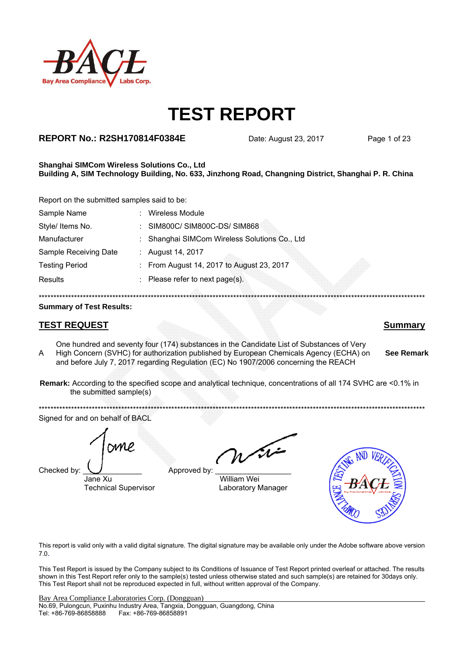

### **REPORT No.: R2SH170814F0384E** Date: August 23, 2017 Page 1 of 23

#### **Shanghai SIMCom Wireless Solutions Co., Ltd Building A, SIM Technology Building, No. 633, Jinzhong Road, Changning District, Shanghai P. R. China**

Report on the submitted samples said to be:

| Sample Name           | <b>Wireless Module</b>                        |
|-----------------------|-----------------------------------------------|
| Style/ Items No.      | : SIM800C/SIM800C-DS/SIM868                   |
| Manufacturer          | : Shanghai SIMCom Wireless Solutions Co., Ltd |
| Sample Receiving Date | : August 14, 2017                             |
| <b>Testing Period</b> | : From August 14, 2017 to August 23, 2017     |
| <b>Results</b>        | : Please refer to next page(s).               |
|                       |                                               |

#### **Summary of Test Results:**

### **TEST REQUEST Summary**

A One hundred and seventy four (174) substances in the Candidate List of Substances of Very High Concern (SVHC) for authorization published by European Chemicals Agency (ECHA) on and before July 7, 2017 regarding Regulation (EC) No 1907/2006 concerning the REACH

**Remark:** According to the specified scope and analytical technique, concentrations of all 174 SVHC are <0.1% in the submitted sample(s)

\*\*\*\*\*\*\*\*\*\*\*\*\*\*\*\*\*\*\*\*\*\*\*\*\*\*\*\*\*\*\*\*\*\*\*\*\*\*\*\*\*\*\*\*\*\*\*\*\*\*\*\*\*\*\*\*\*\*\*\*\*\*\*\*\*\*\*\*\*\*\*\*\*\*\*\*\*\*\*\*\*\*\*\*\*\*\*\*\*\*\*\*\*\*\*\*\*\*\*\*\*\*\*\*\*\*\*\*\*\*\*\*\*\*\*\*\*\*\*\*\*\*\*\*\*\*\*\*\*\*\* Signed for and on behalf of BACL

Checked by:  $\bigcup$  Approved by

Jane Xu William Wei

Technical Supervisor **Laboratory Manager** 



This report is valid only with a valid digital signature. The digital signature may be available only under the Adobe software above version 7.0.

This Test Report is issued by the Company subject to its Conditions of Issuance of Test Report printed overleaf or attached. The results shown in this Test Report refer only to the sample(s) tested unless otherwise stated and such sample(s) are retained for 30days only. This Test Report shall not be reproduced expected in full, without written approval of the Company.

**See Remark**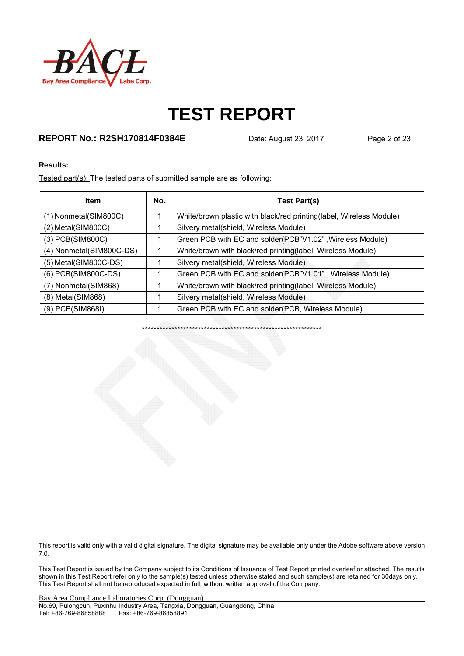

### **REPORT No.: R2SH170814F0384E** Date: August 23, 2017 Page 2 of 23

#### **Results:**

Tested part(s): The tested parts of submitted sample are as following:

| <b>Item</b>              | No. | <b>Test Part(s)</b>                                                 |
|--------------------------|-----|---------------------------------------------------------------------|
| (1) Nonmetal(SIM800C)    |     | White/brown plastic with black/red printing(label, Wireless Module) |
| $(2)$ Metal(SIM800C)     |     | Silvery metal(shield, Wireless Module)                              |
| $(3)$ PCB $(SIM800C)$    |     | Green PCB with EC and solder(PCB"V1.02", Wireless Module)           |
| (4) Nonmetal(SIM800C-DS) |     | White/brown with black/red printing(label, Wireless Module)         |
| (5) Metal(SIM800C-DS)    |     | Silvery metal(shield, Wireless Module)                              |
| (6) PCB(SIM800C-DS)      |     | Green PCB with EC and solder(PCB"V1.01", Wireless Module)           |
| (7) Nonmetal(SIM868)     |     | White/brown with black/red printing(label, Wireless Module)         |
| $(8)$ Metal $(SIM868)$   |     | Silvery metal(shield, Wireless Module)                              |
| (9) PCB(SIM868I)         |     | Green PCB with EC and solder(PCB, Wireless Module)                  |

\*\*\*\*\*\*\*\*\*\*\*\*\*\*\*\*\*\*\*\*\*\*\*\*\*\*\*\*\*\*\*\*\*\*\*\*\*\*\*\*\*\*\*\*\*\*\*\*\*\*\*\*\*\*\*\*\*\*\*\*\*

This report is valid only with a valid digital signature. The digital signature may be available only under the Adobe software above version 7.0.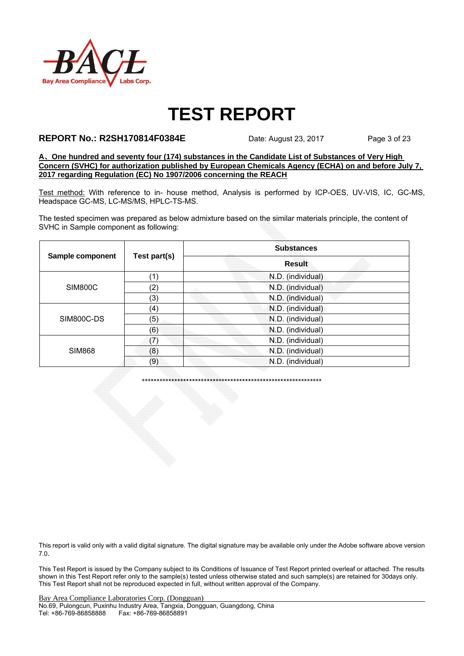

#### **REPORT No.: R2SH170814F0384E** Date: August 23, 2017 Page 3 of 23

**A**、**One hundred and seventy four (174) substances in the Candidate List of Substances of Very High Concern (SVHC) for authorization published by European Chemicals Agency (ECHA) on and before July 7, 2017 regarding Regulation (EC) No 1907/2006 concerning the REACH**

Test method: With reference to in- house method, Analysis is performed by ICP-OES, UV-VIS, IC, GC-MS, Headspace GC-MS, LC-MS/MS, HPLC-TS-MS.

The tested specimen was prepared as below admixture based on the similar materials principle, the content of SVHC in Sample component as following:

|                  |              | <b>Substances</b> |  |  |  |
|------------------|--------------|-------------------|--|--|--|
| Sample component | Test part(s) | <b>Result</b>     |  |  |  |
| <b>SIM800C</b>   | (1`          | N.D. (individual) |  |  |  |
|                  | (2)          | N.D. (individual) |  |  |  |
|                  | (3)          | N.D. (individual) |  |  |  |
|                  | (4)          | N.D. (individual) |  |  |  |
| SIM800C-DS       | (5)          | N.D. (individual) |  |  |  |
|                  | (6)          | N.D. (individual) |  |  |  |
|                  | (7)          | N.D. (individual) |  |  |  |
| <b>SIM868</b>    | (8)          | N.D. (individual) |  |  |  |
|                  | (9)          | N.D. (individual) |  |  |  |

\*\*\*\*\*\*\*\*\*\*\*\*\*\*\*\*\*\*\*\*\*\*\*\*\*\*\*\*\*\*\*\*\*\*\*\*\*\*\*\*\*\*\*\*\*\*\*\*\*\*\*\*\*\*\*\*\*\*\*\*\*

This report is valid only with a valid digital signature. The digital signature may be available only under the Adobe software above version 7.0.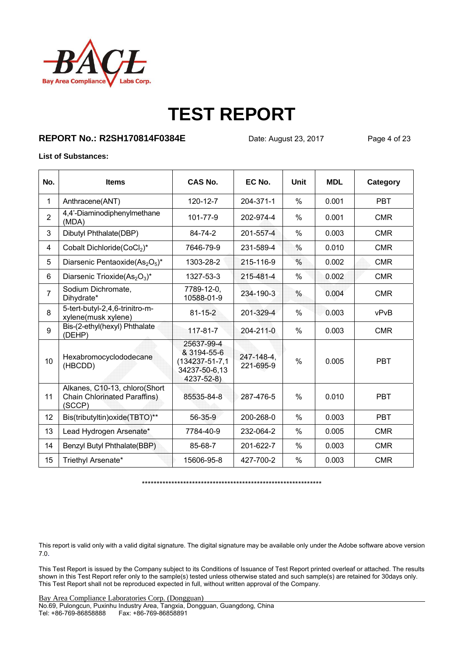

#### **REPORT No.: R2SH170814F0384E** Date: August 23, 2017 Page 4 of 23

#### **List of Substances:**

| No.            | <b>Items</b>                                                                   | CAS No.                                                                           | EC No.                  | <b>Unit</b>   | <b>MDL</b> | Category   |
|----------------|--------------------------------------------------------------------------------|-----------------------------------------------------------------------------------|-------------------------|---------------|------------|------------|
| 1              | Anthracene(ANT)                                                                | 120-12-7                                                                          | 204-371-1               | $\%$          | 0.001      | <b>PBT</b> |
| $\overline{2}$ | 4,4'-Diaminodiphenylmethane<br>(MDA)                                           | 101-77-9                                                                          | 202-974-4               | $\%$          | 0.001      | <b>CMR</b> |
| 3              | Dibutyl Phthalate(DBP)                                                         | 84-74-2                                                                           | 201-557-4               | $\%$          | 0.003      | <b>CMR</b> |
| 4              | Cobalt Dichloride(CoCl2)*                                                      | 7646-79-9                                                                         | 231-589-4               | $\%$          | 0.010      | <b>CMR</b> |
| 5              | Diarsenic Pentaoxide(As <sub>2</sub> O <sub>5</sub> )*                         | 1303-28-2                                                                         | 215-116-9               | $\%$          | 0.002      | <b>CMR</b> |
| 6              | Diarsenic Trioxide(As <sub>2</sub> O <sub>3</sub> )*                           | 1327-53-3                                                                         | 215-481-4               | $\%$          | 0.002      | <b>CMR</b> |
| $\overline{7}$ | Sodium Dichromate,<br>Dihydrate*                                               | 7789-12-0,<br>10588-01-9                                                          | 234-190-3               | $\frac{0}{0}$ | 0.004      | <b>CMR</b> |
| 8              | 5-tert-butyl-2,4,6-trinitro-m-<br>xylene(musk xylene)                          | $81 - 15 - 2$                                                                     | 201-329-4               | $\%$          | 0.003      | vPvB       |
| 9              | Bis-(2-ethyl(hexyl) Phthalate<br>(DEHP)                                        | 117-81-7                                                                          | $204 - 211 - 0$         | $\%$          | 0.003      | <b>CMR</b> |
| 10             | Hexabromocyclododecane<br>(HBCDD)                                              | 25637-99-4<br>& 3194-55-6<br>$(134237 - 51 - 7, 1$<br>34237-50-6,13<br>4237-52-8) | 247-148-4.<br>221-695-9 | $\frac{0}{0}$ | 0.005      | <b>PBT</b> |
| 11             | Alkanes, C10-13, chloro(Short<br><b>Chain Chlorinated Paraffins)</b><br>(SCCP) | 85535-84-8                                                                        | 287-476-5               | $\%$          | 0.010      | <b>PBT</b> |
| 12             | Bis(tributyltin) oxide(TBTO)**                                                 | 56-35-9                                                                           | 200-268-0               | $\%$          | 0.003      | <b>PBT</b> |
| 13             | Lead Hydrogen Arsenate*                                                        | 7784-40-9                                                                         | 232-064-2               | $\%$          | 0.005      | <b>CMR</b> |
| 14             | Benzyl Butyl Phthalate(BBP)                                                    | 85-68-7                                                                           | 201-622-7               | $\%$          | 0.003      | <b>CMR</b> |
| 15             | Triethyl Arsenate*                                                             | 15606-95-8                                                                        | 427-700-2               | $\%$          | 0.003      | <b>CMR</b> |

\*\*\*\*\*\*\*\*\*\*\*\*\*\*\*\*\*\*\*\*\*\*\*\*\*\*\*\*\*\*\*\*\*\*\*\*\*\*\*\*\*\*\*\*\*\*\*\*\*\*\*\*\*\*\*\*\*\*\*\*\*

This report is valid only with a valid digital signature. The digital signature may be available only under the Adobe software above version 7.0.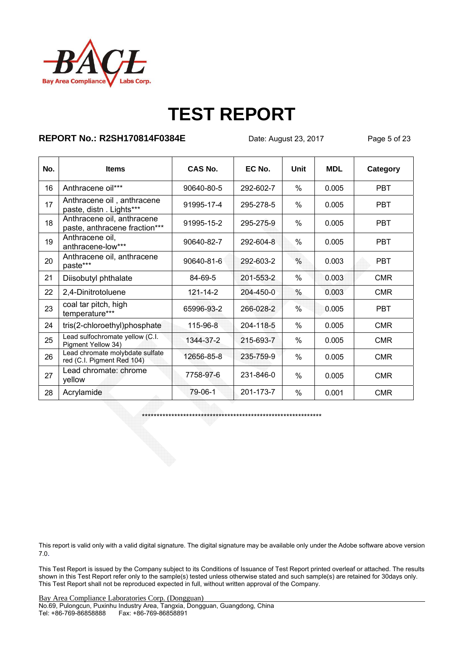

### **REPORT No.: R2SH170814F0384E** Date: August 23, 2017 Page 5 of 23

| No. | <b>Items</b>                                                  | CAS No.    | EC No.    | <b>Unit</b>   | <b>MDL</b> | Category   |
|-----|---------------------------------------------------------------|------------|-----------|---------------|------------|------------|
| 16  | Anthracene oil***                                             | 90640-80-5 | 292-602-7 | $\%$          | 0.005      | <b>PBT</b> |
| 17  | Anthracene oil, anthracene<br>paste, distn. Lights***         | 91995-17-4 | 295-278-5 | %             | 0.005      | <b>PBT</b> |
| 18  | Anthracene oil, anthracene<br>paste, anthracene fraction***   | 91995-15-2 | 295-275-9 | %             | 0.005      | <b>PBT</b> |
| 19  | Anthracene oil,<br>anthracene-low***                          | 90640-82-7 | 292-604-8 | $\%$          | 0.005      | <b>PBT</b> |
| 20  | Anthracene oil, anthracene<br>paste***                        | 90640-81-6 | 292-603-2 | $\%$          | 0.003      | <b>PBT</b> |
| 21  | Diisobutyl phthalate                                          | 84-69-5    | 201-553-2 | $\%$          | 0.003      | <b>CMR</b> |
| 22  | 2,4-Dinitrotoluene                                            | 121-14-2   | 204-450-0 | %             | 0.003      | <b>CMR</b> |
| 23  | coal tar pitch, high<br>temperature***                        | 65996-93-2 | 266-028-2 | $\frac{0}{0}$ | 0.005      | <b>PBT</b> |
| 24  | tris(2-chloroethyl)phosphate                                  | 115-96-8   | 204-118-5 | $\%$          | 0.005      | <b>CMR</b> |
| 25  | Lead sulfochromate yellow (C.I.<br>Pigment Yellow 34)         | 1344-37-2  | 215-693-7 | %             | 0.005      | <b>CMR</b> |
| 26  | Lead chromate molybdate sulfate<br>red (C.I. Pigment Red 104) | 12656-85-8 | 235-759-9 | %             | 0.005      | <b>CMR</b> |
| 27  | Lead chromate: chrome<br>yellow                               | 7758-97-6  | 231-846-0 | $\%$          | 0.005      | <b>CMR</b> |
| 28  | Acrylamide                                                    | 79-06-1    | 201-173-7 | $\%$          | 0.001      | <b>CMR</b> |

\*\*\*\*\*\*\*\*\*\*\*\*\*\*\*\*\*\*\*\*\*\*\*\*\*\*\*\*\*\*\*\*\*\*\*\*\*\*\*\*\*\*\*\*\*\*\*\*\*\*\*\*\*\*\*\*\*\*\*\*\*

This report is valid only with a valid digital signature. The digital signature may be available only under the Adobe software above version 7.0.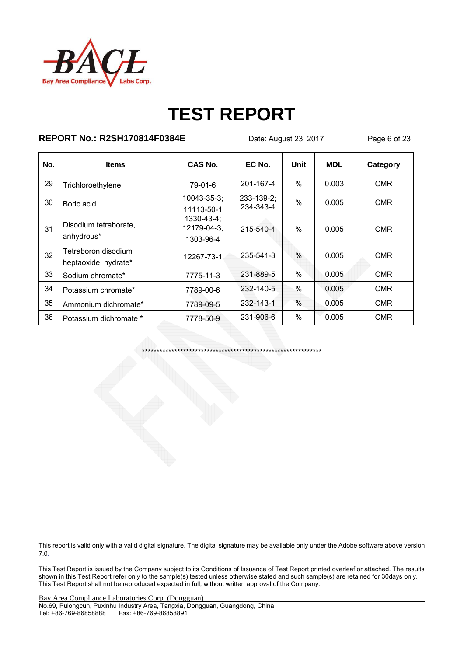

### **REPORT No.: R2SH170814F0384E** Date: August 23, 2017 Page 6 of 23

| No. | <b>Items</b>                                | CAS No.                                | EC No.                  | Unit          | <b>MDL</b> | Category   |
|-----|---------------------------------------------|----------------------------------------|-------------------------|---------------|------------|------------|
| 29  | Trichloroethylene                           | 79-01-6                                | 201-167-4               | $\%$          | 0.003      | <b>CMR</b> |
| 30  | Boric acid                                  | $10043 - 35 - 3$ ;<br>11113-50-1       | 233-139-2;<br>234-343-4 | $\%$          | 0.005      | <b>CMR</b> |
| 31  | Disodium tetraborate,<br>anhydrous*         | 1330-43-4;<br>12179-04-3;<br>1303-96-4 | 215-540-4               | $\%$          | 0.005      | <b>CMR</b> |
| 32  | Tetraboron disodium<br>heptaoxide, hydrate* | 12267-73-1                             | 235-541-3               | $\frac{0}{0}$ | 0.005      | <b>CMR</b> |
| 33  | Sodium chromate*                            | 7775-11-3                              | 231-889-5               | $\%$          | 0.005      | <b>CMR</b> |
| 34  | Potassium chromate*                         | 7789-00-6                              | 232-140-5               | $\%$          | 0.005      | <b>CMR</b> |
| 35  | Ammonium dichromate*                        | 7789-09-5                              | 232-143-1               | $\%$          | 0.005      | <b>CMR</b> |
| 36  | Potassium dichromate *                      | 7778-50-9                              | 231-906-6               | $\%$          | 0.005      | <b>CMR</b> |

\*\*\*\*\*\*\*\*\*\*\*\*\*\*\*\*\*\*\*\*\*\*\*\*\*\*\*\*\*\*\*\*\*\*\*\*\*\*\*\*\*\*\*\*\*\*\*\*\*\*\*\*\*\*\*\*\*\*\*\*\*

This report is valid only with a valid digital signature. The digital signature may be available only under the Adobe software above version 7.0.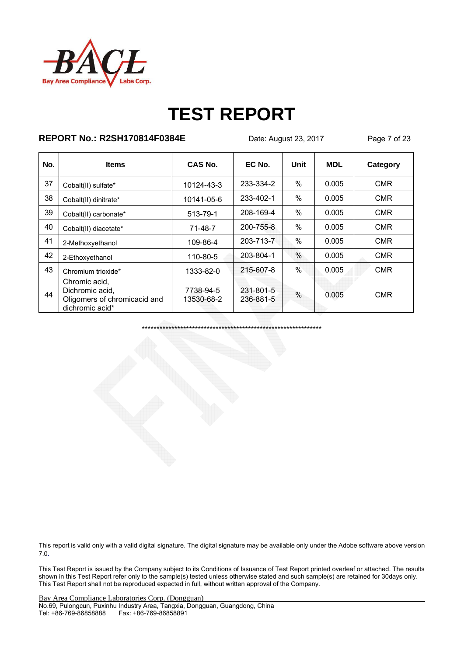

### **REPORT No.: R2SH170814F0384E** Date: August 23, 2017 Page 7 of 23

| No. | <b>Items</b>                                                                        | CAS No.                 | EC No.                 | Unit | <b>MDL</b> | Category   |
|-----|-------------------------------------------------------------------------------------|-------------------------|------------------------|------|------------|------------|
| 37  | Cobalt(II) sulfate*                                                                 | 10124-43-3              | 233-334-2              | $\%$ | 0.005      | <b>CMR</b> |
| 38  | Cobalt(II) dinitrate*                                                               | 10141-05-6              | 233-402-1              | $\%$ | 0.005      | <b>CMR</b> |
| 39  | Cobalt(II) carbonate*                                                               | 513-79-1                | 208-169-4              | $\%$ | 0.005      | <b>CMR</b> |
| 40  | Cobalt(II) diacetate*                                                               | 71-48-7                 | 200-755-8              | $\%$ | 0.005      | <b>CMR</b> |
| 41  | 2-Methoxyethanol                                                                    | 109-86-4                | 203-713-7              | $\%$ | 0.005      | <b>CMR</b> |
| 42  | 2-Ethoxyethanol                                                                     | 110-80-5                | 203-804-1              | $\%$ | 0.005      | <b>CMR</b> |
| 43  | Chromium trioxide*                                                                  | 1333-82-0               | 215-607-8              | $\%$ | 0.005      | <b>CMR</b> |
| 44  | Chromic acid,<br>Dichromic acid,<br>Oligomers of chromicacid and<br>dichromic acid* | 7738-94-5<br>13530-68-2 | 231-801-5<br>236-881-5 | $\%$ | 0.005      | <b>CMR</b> |

\*\*\*\*\*\*\*\*\*\*\*\*\*\*\*\*\*\*\*\*\*\*\*\*\*\*\*\*\*\*\*\*\*\*\*\*\*\*\*\*\*\*\*\*\*\*\*\*\*\*\*\*\*\*\*\*\*\*\*\*\*

This report is valid only with a valid digital signature. The digital signature may be available only under the Adobe software above version 7.0.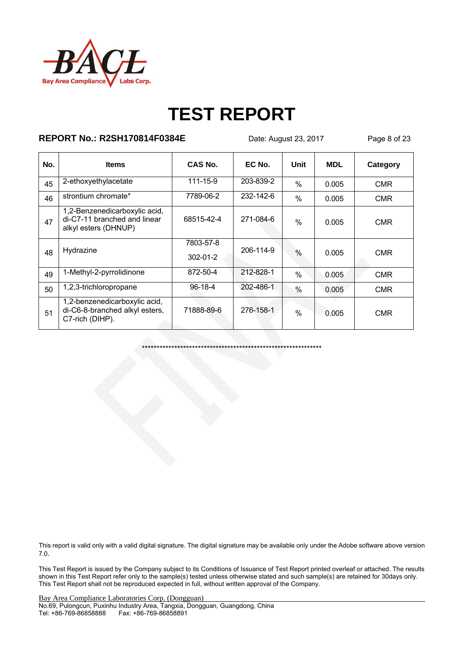

### **REPORT No.: R2SH170814F0384E** Date: August 23, 2017 Page 8 of 23

| No. | <b>Items</b>                                                                          | CAS No.                     | EC No.    | Unit          | <b>MDL</b> | Category   |
|-----|---------------------------------------------------------------------------------------|-----------------------------|-----------|---------------|------------|------------|
| 45  | 2-ethoxyethylacetate                                                                  | 111-15-9                    | 203-839-2 | $\frac{0}{0}$ | 0.005      | <b>CMR</b> |
| 46  | strontium chromate*                                                                   | 7789-06-2                   | 232-142-6 | $\%$          | 0.005      | <b>CMR</b> |
| 47  | 1,2-Benzenedicarboxylic acid,<br>di-C7-11 branched and linear<br>alkyl esters (DHNUP) | 68515-42-4                  | 271-084-6 | $\frac{0}{0}$ | 0.005      | <b>CMR</b> |
| 48  | Hydrazine                                                                             | 7803-57-8<br>$302 - 01 - 2$ | 206-114-9 | $\frac{0}{0}$ | 0.005      | <b>CMR</b> |
| 49  | 1-Methyl-2-pyrrolidinone                                                              | 872-50-4                    | 212-828-1 | $\frac{0}{0}$ | 0.005      | <b>CMR</b> |
| 50  | 1,2,3-trichloropropane                                                                | $96-18-4$                   | 202-486-1 | $\frac{0}{0}$ | 0.005      | <b>CMR</b> |
| 51  | 1,2-benzenedicarboxylic acid,<br>di-C6-8-branched alkyl esters,<br>C7-rich (DIHP).    | 71888-89-6                  | 276-158-1 | $\frac{0}{0}$ | 0.005      | <b>CMR</b> |

\*\*\*\*\*\*\*\*\*\*\*\*\*\*\*\*\*\*\*\*\*\*\*\*\*\*\*\*\*\*\*\*\*\*\*\*\*\*\*\*\*\*\*\*\*\*\*\*\*\*\*\*\*\*\*\*\*\*\*\*\*

This report is valid only with a valid digital signature. The digital signature may be available only under the Adobe software above version 7.0.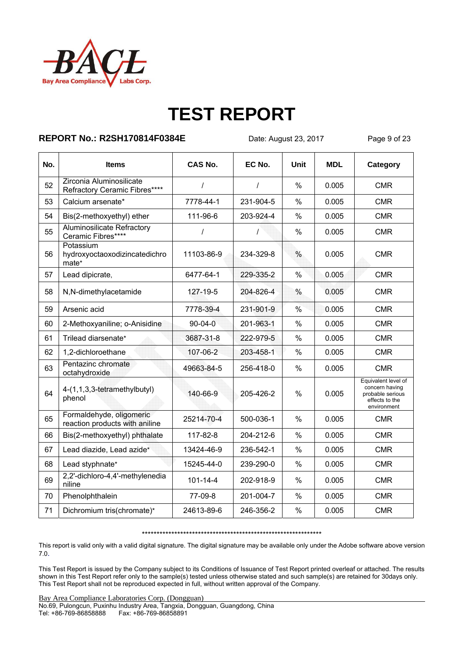

### **REPORT No.: R2SH170814F0384E** Date: August 23, 2017 Page 9 of 23

| No. | <b>Items</b>                                               | <b>CAS No.</b> | EC No.    | Unit          | <b>MDL</b> | Category                                                                                   |
|-----|------------------------------------------------------------|----------------|-----------|---------------|------------|--------------------------------------------------------------------------------------------|
| 52  | Zirconia Aluminosilicate<br>Refractory Ceramic Fibres****  | $\prime$       | $\prime$  | $\%$          | 0.005      | <b>CMR</b>                                                                                 |
| 53  | Calcium arsenate*                                          | 7778-44-1      | 231-904-5 | %             | 0.005      | <b>CMR</b>                                                                                 |
| 54  | Bis(2-methoxyethyl) ether                                  | 111-96-6       | 203-924-4 | $\%$          | 0.005      | <b>CMR</b>                                                                                 |
| 55  | <b>Aluminosilicate Refractory</b><br>Ceramic Fibres****    | $\prime$       | $\prime$  | $\%$          | 0.005      | <b>CMR</b>                                                                                 |
| 56  | Potassium<br>hydroxyoctaoxodizincatedichro<br>mate*        | 11103-86-9     | 234-329-8 | $\frac{0}{0}$ | 0.005      | <b>CMR</b>                                                                                 |
| 57  | Lead dipicrate,                                            | 6477-64-1      | 229-335-2 | $\frac{0}{0}$ | 0.005      | <b>CMR</b>                                                                                 |
| 58  | N,N-dimethylacetamide                                      | 127-19-5       | 204-826-4 | $\%$          | 0.005      | <b>CMR</b>                                                                                 |
| 59  | Arsenic acid                                               | 7778-39-4      | 231-901-9 | $\frac{0}{0}$ | 0.005      | <b>CMR</b>                                                                                 |
| 60  | 2-Methoxyaniline; o-Anisidine                              | $90 - 04 - 0$  | 201-963-1 | $\%$          | 0.005      | <b>CMR</b>                                                                                 |
| 61  | Trilead diarsenate*                                        | 3687-31-8      | 222-979-5 | $\frac{0}{0}$ | 0.005      | <b>CMR</b>                                                                                 |
| 62  | 1,2-dichloroethane                                         | 107-06-2       | 203-458-1 | $\%$          | 0.005      | <b>CMR</b>                                                                                 |
| 63  | Pentazinc chromate<br>octahydroxide                        | 49663-84-5     | 256-418-0 | $\frac{0}{0}$ | 0.005      | <b>CMR</b>                                                                                 |
| 64  | 4-(1,1,3,3-tetramethylbutyl)<br>phenol                     | 140-66-9       | 205-426-2 | $\frac{0}{0}$ | 0.005      | Equivalent level of<br>concern having<br>probable serious<br>effects to the<br>environment |
| 65  | Formaldehyde, oligomeric<br>reaction products with aniline | 25214-70-4     | 500-036-1 | $\%$          | 0.005      | <b>CMR</b>                                                                                 |
| 66  | Bis(2-methoxyethyl) phthalate                              | 117-82-8       | 204-212-6 | %             | 0.005      | <b>CMR</b>                                                                                 |
| 67  | Lead diazide, Lead azide*                                  | 13424-46-9     | 236-542-1 | $\%$          | 0.005      | <b>CMR</b>                                                                                 |
| 68  | Lead styphnate*                                            | 15245-44-0     | 239-290-0 | $\%$          | 0.005      | <b>CMR</b>                                                                                 |
| 69  | 2,2'-dichloro-4,4'-methylenedia<br>niline                  | $101 - 14 - 4$ | 202-918-9 | %             | 0.005      | <b>CMR</b>                                                                                 |
| 70  | Phenolphthalein                                            | 77-09-8        | 201-004-7 | $\%$          | 0.005      | <b>CMR</b>                                                                                 |
| 71  | Dichromium tris(chromate)*                                 | 24613-89-6     | 246-356-2 | $\%$          | 0.005      | <b>CMR</b>                                                                                 |

#### \*\*\*\*\*\*\*\*\*\*\*\*\*\*\*\*\*\*\*\*\*\*\*\*\*\*\*\*\*\*\*\*\*\*\*\*\*\*\*\*\*\*\*\*\*\*\*\*\*\*\*\*\*\*\*\*\*\*\*\*\*

This report is valid only with a valid digital signature. The digital signature may be available only under the Adobe software above version 7.0.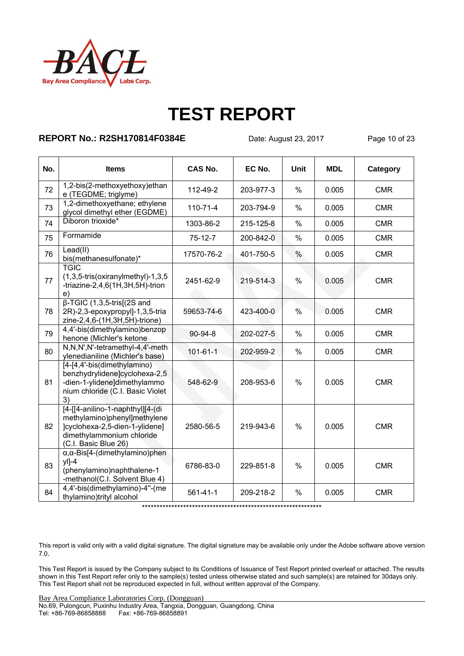

### **REPORT No.: R2SH170814F0384E** Date: August 23, 2017 Page 10 of 23

| No. | <b>Items</b>                                                                                                                                            | <b>CAS No.</b> | EC No.    | <b>Unit</b>   | <b>MDL</b> | Category   |
|-----|---------------------------------------------------------------------------------------------------------------------------------------------------------|----------------|-----------|---------------|------------|------------|
| 72  | 1,2-bis(2-methoxyethoxy)ethan<br>e (TEGDME; triglyme)                                                                                                   | 112-49-2       | 203-977-3 | $\%$          | 0.005      | <b>CMR</b> |
| 73  | 1,2-dimethoxyethane; ethylene<br>glycol dimethyl ether (EGDME)                                                                                          | $110 - 71 - 4$ | 203-794-9 | $\%$          | 0.005      | <b>CMR</b> |
| 74  | Diboron trioxide*                                                                                                                                       | 1303-86-2      | 215-125-8 | $\frac{0}{0}$ | 0.005      | <b>CMR</b> |
| 75  | Formamide                                                                                                                                               | $75-12-7$      | 200-842-0 | $\frac{0}{0}$ | 0.005      | <b>CMR</b> |
| 76  | Lead(II)<br>bis(methanesulfonate)*                                                                                                                      | 17570-76-2     | 401-750-5 | $\%$          | 0.005      | <b>CMR</b> |
| 77  | <b>TGIC</b><br>$(1,3,5\text{-tris}(oxiranylmethyl)-1,3,5)$<br>-triazine-2,4,6(1H,3H,5H)-trion<br>e)                                                     | 2451-62-9      | 219-514-3 | $\%$          | 0.005      | <b>CMR</b> |
| 78  | $\beta$ -TGIC (1,3,5-tris[(2S and<br>2R)-2,3-epoxypropyl]-1,3,5-tria<br>zine-2,4,6-(1H,3H,5H)-trione)                                                   | 59653-74-6     | 423-400-0 | $\%$          | 0.005      | <b>CMR</b> |
| 79  | 4,4'-bis(dimethylamino)benzop<br>henone (Michler's ketone                                                                                               | $90 - 94 - 8$  | 202-027-5 | $\%$          | 0.005      | <b>CMR</b> |
| 80  | N,N,N',N'-tetramethyl-4,4'-meth<br>ylenedianiline (Michler's base)                                                                                      | $101 - 61 - 1$ | 202-959-2 | $\%$          | 0.005      | <b>CMR</b> |
| 81  | [4-[4,4'-bis(dimethylamino)<br>benzhydrylidene]cyclohexa-2,5<br>-dien-1-ylidene]dimethylammo<br>nium chloride (C.I. Basic Violet<br>3)                  | 548-62-9       | 208-953-6 | $\frac{0}{0}$ | 0.005      | <b>CMR</b> |
| 82  | [4-[[4-anilino-1-naphthyl][4-(di<br>methylamino)phenyl]methylene<br>]cyclohexa-2,5-dien-1-ylidene]<br>dimethylammonium chloride<br>(C.I. Basic Blue 26) | 2580-56-5      | 219-943-6 | $\%$          | 0.005      | <b>CMR</b> |
| 83  | $\alpha, \alpha$ -Bis[4-(dimethylamino)phen<br>$y$  ]-4<br>(phenylamino)naphthalene-1<br>-methanol(C.I. Solvent Blue 4)                                 | 6786-83-0      | 229-851-8 | $\%$          | 0.005      | <b>CMR</b> |
| 84  | 4,4'-bis(dimethylamino)-4"-(me<br>thylamino)trityl alcohol                                                                                              | $561 - 41 - 1$ | 209-218-2 | $\%$          | 0.005      | <b>CMR</b> |

\*\*\*\*\*\*\*\*\*\*\*\*\*\*\*\*\*\*\*\*\*\*\*\*\*\*\*\*\*\*\*\*\*\*\*\*\*\*\*\*\*\*\*\*\*\*\*\*\*\*\*\*\*\*\*\*\*\*\*\*\*

This report is valid only with a valid digital signature. The digital signature may be available only under the Adobe software above version 7.0.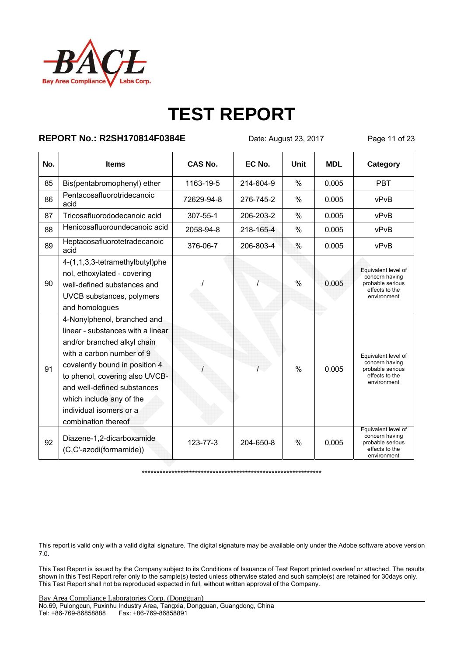

### **REPORT No.: R2SH170814F0384E** Date: August 23, 2017 Page 11 of 23

| No. | <b>Items</b>                                                                                                                                                                                                                                                                                                  | CAS No.    | EC No.    | Unit          | <b>MDL</b> | Category                                                                                   |
|-----|---------------------------------------------------------------------------------------------------------------------------------------------------------------------------------------------------------------------------------------------------------------------------------------------------------------|------------|-----------|---------------|------------|--------------------------------------------------------------------------------------------|
| 85  | Bis(pentabromophenyl) ether                                                                                                                                                                                                                                                                                   | 1163-19-5  | 214-604-9 | $\%$          | 0.005      | <b>PBT</b>                                                                                 |
| 86  | Pentacosafluorotridecanoic<br>acid                                                                                                                                                                                                                                                                            | 72629-94-8 | 276-745-2 | $\frac{0}{0}$ | 0.005      | vPvB                                                                                       |
| 87  | Tricosafluorododecanoic acid                                                                                                                                                                                                                                                                                  | 307-55-1   | 206-203-2 | $\frac{0}{0}$ | 0.005      | vPvB                                                                                       |
| 88  | Henicosafluoroundecanoic acid                                                                                                                                                                                                                                                                                 | 2058-94-8  | 218-165-4 | $\frac{0}{0}$ | 0.005      | vPvB                                                                                       |
| 89  | Heptacosafluorotetradecanoic<br>acid                                                                                                                                                                                                                                                                          | 376-06-7   | 206-803-4 | %             | 0.005      | vPvB                                                                                       |
| 90  | 4-(1,1,3,3-tetramethylbutyl)phe<br>nol, ethoxylated - covering<br>well-defined substances and<br>UVCB substances, polymers<br>and homologues                                                                                                                                                                  |            |           | $\frac{0}{0}$ | 0.005      | Equivalent level of<br>concern having<br>probable serious<br>effects to the<br>environment |
| 91  | 4-Nonylphenol, branched and<br>linear - substances with a linear<br>and/or branched alkyl chain<br>with a carbon number of 9<br>covalently bound in position 4<br>to phenol, covering also UVCB-<br>and well-defined substances<br>which include any of the<br>individual isomers or a<br>combination thereof |            |           | $\frac{0}{0}$ | 0.005      | Equivalent level of<br>concern having<br>probable serious<br>effects to the<br>environment |
| 92  | Diazene-1,2-dicarboxamide<br>(C,C'-azodi(formamide))                                                                                                                                                                                                                                                          | 123-77-3   | 204-650-8 | $\%$          | 0.005      | Equivalent level of<br>concern having<br>probable serious<br>effects to the<br>environment |

\*\*\*\*\*\*\*\*\*\*\*\*\*\*\*\*\*\*\*\*\*\*\*\*\*\*\*\*\*\*\*\*\*\*\*\*\*\*\*\*\*\*\*\*\*\*\*\*\*\*\*\*\*\*\*\*\*\*\*\*\*

This report is valid only with a valid digital signature. The digital signature may be available only under the Adobe software above version 7.0.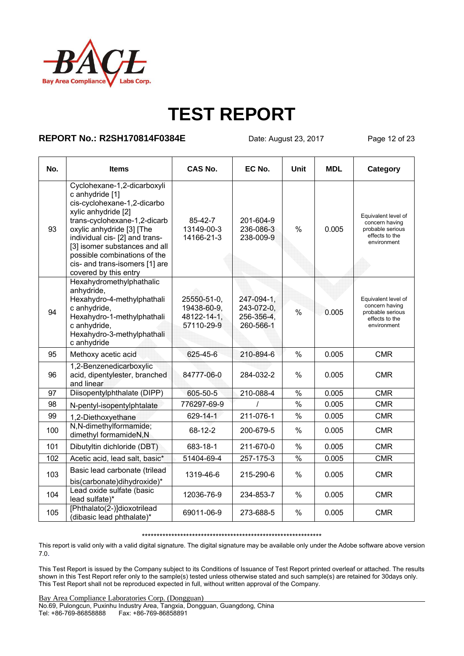

#### **REPORT No.: R2SH170814F0384E** Date: August 23, 2017 Page 12 of 23

| No. | <b>Items</b>                                                                                                                                                                                                                                                                                                                    | CAS No.                                                 | EC No.                                              | Unit            | <b>MDL</b> | Category                                                                                   |
|-----|---------------------------------------------------------------------------------------------------------------------------------------------------------------------------------------------------------------------------------------------------------------------------------------------------------------------------------|---------------------------------------------------------|-----------------------------------------------------|-----------------|------------|--------------------------------------------------------------------------------------------|
| 93  | Cyclohexane-1,2-dicarboxyli<br>c anhydride [1]<br>cis-cyclohexane-1,2-dicarbo<br>xylic anhydride [2]<br>trans-cyclohexane-1,2-dicarb<br>oxylic anhydride [3] [The<br>individual cis- [2] and trans-<br>[3] isomer substances and all<br>possible combinations of the<br>cis- and trans-isomers [1] are<br>covered by this entry | 85-42-7<br>13149-00-3<br>14166-21-3                     | 201-604-9<br>236-086-3<br>238-009-9                 | $\frac{0}{0}$   | 0.005      | Equivalent level of<br>concern having<br>probable serious<br>effects to the<br>environment |
| 94  | Hexahydromethylphathalic<br>anhydride,<br>Hexahydro-4-methylphathali<br>c anhydride,<br>Hexahydro-1-methylphathali<br>c anhydride,<br>Hexahydro-3-methylphathali<br>c anhydride                                                                                                                                                 | 25550-51-0,<br>19438-60-9,<br>48122-14-1,<br>57110-29-9 | 247-094-1,<br>243-072-0,<br>256-356-4,<br>260-566-1 | $\frac{0}{0}$   | 0.005      | Equivalent level of<br>concern having<br>probable serious<br>effects to the<br>environment |
| 95  | Methoxy acetic acid                                                                                                                                                                                                                                                                                                             | 625-45-6                                                | 210-894-6                                           | $\%$            | 0.005      | <b>CMR</b>                                                                                 |
| 96  | 1,2-Benzenedicarboxylic<br>acid, dipentylester, branched<br>and linear                                                                                                                                                                                                                                                          | 84777-06-0                                              | 284-032-2                                           | $\%$            | 0.005      | <b>CMR</b>                                                                                 |
| 97  | Diisopentylphthalate (DIPP)                                                                                                                                                                                                                                                                                                     | 605-50-5                                                | 210-088-4                                           | $\overline{\%}$ | 0.005      | <b>CMR</b>                                                                                 |
| 98  | N-pentyl-isopentylphtalate                                                                                                                                                                                                                                                                                                      | 776297-69-9                                             |                                                     | $\frac{0}{0}$   | 0.005      | <b>CMR</b>                                                                                 |
| 99  | 1,2-Diethoxyethane                                                                                                                                                                                                                                                                                                              | 629-14-1                                                | 211-076-1                                           | $\frac{0}{0}$   | 0.005      | <b>CMR</b>                                                                                 |
| 100 | N,N-dimethylformamide;<br>dimethyl formamideN,N                                                                                                                                                                                                                                                                                 | 68-12-2                                                 | 200-679-5                                           | $\frac{0}{0}$   | 0.005      | <b>CMR</b>                                                                                 |
| 101 | Dibutyltin dichloride (DBT)                                                                                                                                                                                                                                                                                                     | 683-18-1                                                | 211-670-0                                           | $\frac{0}{0}$   | 0.005      | <b>CMR</b>                                                                                 |
| 102 | Acetic acid, lead salt, basic*                                                                                                                                                                                                                                                                                                  | 51404-69-4                                              | 257-175-3                                           | $\overline{\%}$ | 0.005      | <b>CMR</b>                                                                                 |
| 103 | Basic lead carbonate (trilead<br>bis(carbonate)dihydroxide)*                                                                                                                                                                                                                                                                    | 1319-46-6                                               | 215-290-6                                           | $\frac{0}{0}$   | 0.005      | <b>CMR</b>                                                                                 |
| 104 | Lead oxide sulfate (basic<br>lead sulfate)*                                                                                                                                                                                                                                                                                     | 12036-76-9                                              | 234-853-7                                           | %               | 0.005      | <b>CMR</b>                                                                                 |
| 105 | [Phthalato(2-)]dioxotrilead<br>(dibasic lead phthalate)*                                                                                                                                                                                                                                                                        | 69011-06-9                                              | 273-688-5                                           | %               | 0.005      | <b>CMR</b>                                                                                 |

#### \*\*\*\*\*\*\*\*\*\*\*\*\*\*\*\*\*\*\*\*\*\*\*\*\*\*\*\*\*\*\*\*\*\*\*\*\*\*\*\*\*\*\*\*\*\*\*\*\*\*\*\*\*\*\*\*\*\*\*\*\*

This report is valid only with a valid digital signature. The digital signature may be available only under the Adobe software above version 7.0.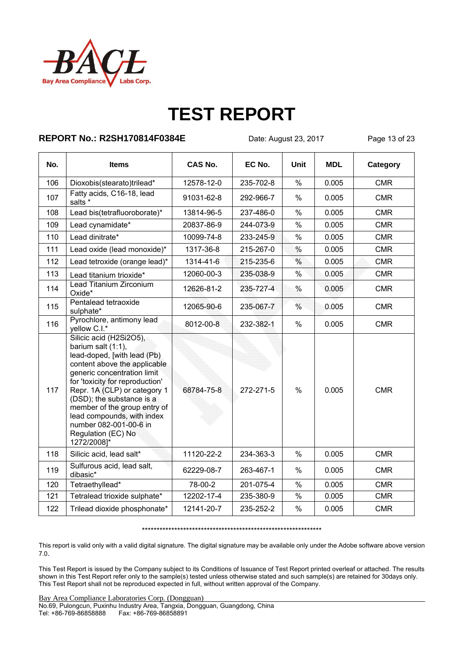

#### **REPORT No.: R2SH170814F0384E** Date: August 23, 2017 Page 13 of 23

| No. | <b>Items</b>                                                                                                                                                                                                                                                                                                                                                             | <b>CAS No.</b> | EC No.    | Unit          | <b>MDL</b> | <b>Category</b> |
|-----|--------------------------------------------------------------------------------------------------------------------------------------------------------------------------------------------------------------------------------------------------------------------------------------------------------------------------------------------------------------------------|----------------|-----------|---------------|------------|-----------------|
| 106 | Dioxobis(stearato)trilead*                                                                                                                                                                                                                                                                                                                                               | 12578-12-0     | 235-702-8 | $\frac{0}{0}$ | 0.005      | <b>CMR</b>      |
| 107 | Fatty acids, C16-18, lead<br>salts *                                                                                                                                                                                                                                                                                                                                     | 91031-62-8     | 292-966-7 | $\%$          | 0.005      | <b>CMR</b>      |
| 108 | Lead bis(tetrafluoroborate)*                                                                                                                                                                                                                                                                                                                                             | 13814-96-5     | 237-486-0 | $\%$          | 0.005      | <b>CMR</b>      |
| 109 | Lead cynamidate*                                                                                                                                                                                                                                                                                                                                                         | 20837-86-9     | 244-073-9 | $\%$          | 0.005      | <b>CMR</b>      |
| 110 | Lead dinitrate*                                                                                                                                                                                                                                                                                                                                                          | 10099-74-8     | 233-245-9 | $\%$          | 0.005      | <b>CMR</b>      |
| 111 | Lead oxide (lead monoxide)*                                                                                                                                                                                                                                                                                                                                              | 1317-36-8      | 215-267-0 | $\%$          | 0.005      | <b>CMR</b>      |
| 112 | Lead tetroxide (orange lead)*                                                                                                                                                                                                                                                                                                                                            | 1314-41-6      | 215-235-6 | $\frac{0}{0}$ | 0.005      | <b>CMR</b>      |
| 113 | Lead titanium trioxide*                                                                                                                                                                                                                                                                                                                                                  | 12060-00-3     | 235-038-9 | $\%$          | 0.005      | <b>CMR</b>      |
| 114 | Lead Titanium Zirconium<br>Oxide*                                                                                                                                                                                                                                                                                                                                        | 12626-81-2     | 235-727-4 | %             | 0.005      | <b>CMR</b>      |
| 115 | Pentalead tetraoxide<br>sulphate*                                                                                                                                                                                                                                                                                                                                        | 12065-90-6     | 235-067-7 | %             | 0.005      | <b>CMR</b>      |
| 116 | Pyrochlore, antimony lead<br>yellow C.I.*                                                                                                                                                                                                                                                                                                                                | 8012-00-8      | 232-382-1 | $\frac{0}{0}$ | 0.005      | <b>CMR</b>      |
| 117 | Silicic acid (H2Si2O5),<br>barium salt (1:1),<br>lead-doped, [with lead (Pb)<br>content above the applicable<br>generic concentration limit<br>for 'toxicity for reproduction'<br>Repr. 1A (CLP) or category 1<br>(DSD); the substance is a<br>member of the group entry of<br>lead compounds, with index<br>number 082-001-00-6 in<br>Regulation (EC) No<br>1272/2008]* | 68784-75-8     | 272-271-5 | $\frac{0}{0}$ | 0.005      | <b>CMR</b>      |
| 118 | Silicic acid, lead salt*                                                                                                                                                                                                                                                                                                                                                 | 11120-22-2     | 234-363-3 | $\%$          | 0.005      | <b>CMR</b>      |
| 119 | Sulfurous acid, lead salt,<br>dibasic*                                                                                                                                                                                                                                                                                                                                   | 62229-08-7     | 263-467-1 | $\%$          | 0.005      | <b>CMR</b>      |
| 120 | Tetraethyllead*                                                                                                                                                                                                                                                                                                                                                          | 78-00-2        | 201-075-4 | $\%$          | 0.005      | <b>CMR</b>      |
| 121 | Tetralead trioxide sulphate*                                                                                                                                                                                                                                                                                                                                             | 12202-17-4     | 235-380-9 | $\%$          | 0.005      | <b>CMR</b>      |
| 122 | Trilead dioxide phosphonate*                                                                                                                                                                                                                                                                                                                                             | 12141-20-7     | 235-252-2 | $\%$          | 0.005      | <b>CMR</b>      |

\*\*\*\*\*\*\*\*\*\*\*\*\*\*\*\*\*\*\*\*\*\*\*\*\*\*\*\*\*\*\*\*\*\*\*\*\*\*\*\*\*\*\*\*\*\*\*\*\*\*\*\*\*\*\*\*\*\*\*\*\*

This report is valid only with a valid digital signature. The digital signature may be available only under the Adobe software above version 7.0.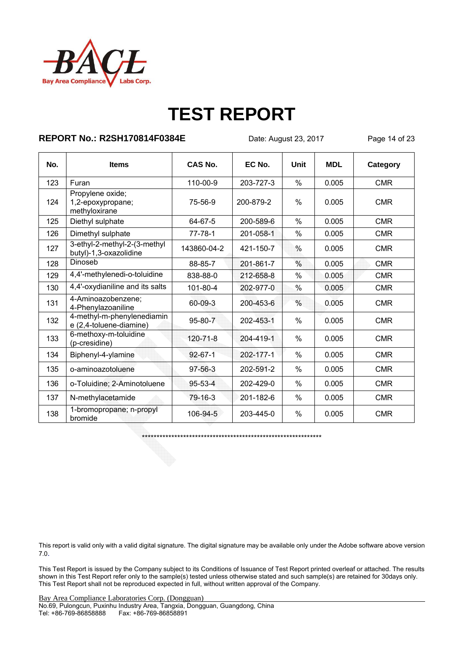

#### **REPORT No.: R2SH170814F0384E** Date: August 23, 2017 Page 14 of 23

| No. | <b>Items</b>                                           | CAS No.       | EC No.    | Unit | <b>MDL</b> | Category   |
|-----|--------------------------------------------------------|---------------|-----------|------|------------|------------|
| 123 | Furan                                                  | 110-00-9      | 203-727-3 | $\%$ | 0.005      | <b>CMR</b> |
| 124 | Propylene oxide;<br>1,2-epoxypropane;<br>methyloxirane | 75-56-9       | 200-879-2 | $\%$ | 0.005      | <b>CMR</b> |
| 125 | Diethyl sulphate                                       | 64-67-5       | 200-589-6 | $\%$ | 0.005      | <b>CMR</b> |
| 126 | Dimethyl sulphate                                      | $77 - 78 - 1$ | 201-058-1 | $\%$ | 0.005      | <b>CMR</b> |
| 127 | 3-ethyl-2-methyl-2-(3-methyl<br>butyl)-1,3-oxazolidine | 143860-04-2   | 421-150-7 | $\%$ | 0.005      | <b>CMR</b> |
| 128 | Dinoseb                                                | 88-85-7       | 201-861-7 | %    | 0.005      | <b>CMR</b> |
| 129 | 4,4'-methylenedi-o-toluidine                           | 838-88-0      | 212-658-8 | $\%$ | 0.005      | <b>CMR</b> |
| 130 | 4,4'-oxydianiline and its salts                        | 101-80-4      | 202-977-0 | %    | 0.005      | <b>CMR</b> |
| 131 | 4-Aminoazobenzene;<br>4-Phenylazoaniline               | 60-09-3       | 200-453-6 | $\%$ | 0.005      | <b>CMR</b> |
| 132 | 4-methyl-m-phenylenediamin<br>e (2,4-toluene-diamine)  | $95 - 80 - 7$ | 202-453-1 | $\%$ | 0.005      | <b>CMR</b> |
| 133 | 6-methoxy-m-toluidine<br>(p-cresidine)                 | 120-71-8      | 204-419-1 | $\%$ | 0.005      | <b>CMR</b> |
| 134 | Biphenyl-4-ylamine                                     | $92 - 67 - 1$ | 202-177-1 | $\%$ | 0.005      | <b>CMR</b> |
| 135 | o-aminoazotoluene                                      | $97 - 56 - 3$ | 202-591-2 | $\%$ | 0.005      | <b>CMR</b> |
| 136 | o-Toluidine; 2-Aminotoluene                            | $95 - 53 - 4$ | 202-429-0 | $\%$ | 0.005      | <b>CMR</b> |
| 137 | N-methylacetamide                                      | 79-16-3       | 201-182-6 | %    | 0.005      | <b>CMR</b> |
| 138 | 1-bromopropane; n-propyl<br>bromide                    | 106-94-5      | 203-445-0 | $\%$ | 0.005      | <b>CMR</b> |

\*\*\*\*\*\*\*\*\*\*\*\*\*\*\*\*\*\*\*\*\*\*\*\*\*\*\*\*\*\*\*\*\*\*\*\*\*\*\*\*\*\*\*\*\*\*\*\*\*\*\*\*\*\*\*\*\*\*\*\*\*

This report is valid only with a valid digital signature. The digital signature may be available only under the Adobe software above version 7.0.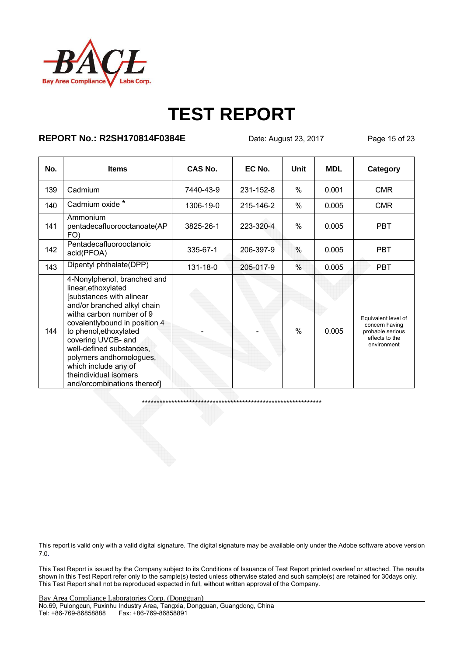

### **REPORT No.: R2SH170814F0384E** Date: August 23, 2017 Page 15 of 23

| No. | <b>Items</b>                                                                                                                                                                                                                                                                                                                                                      | CAS No.   | EC No.    | <b>Unit</b>   | <b>MDL</b> | Category                                                                                   |
|-----|-------------------------------------------------------------------------------------------------------------------------------------------------------------------------------------------------------------------------------------------------------------------------------------------------------------------------------------------------------------------|-----------|-----------|---------------|------------|--------------------------------------------------------------------------------------------|
| 139 | Cadmium                                                                                                                                                                                                                                                                                                                                                           | 7440-43-9 | 231-152-8 | $\%$          | 0.001      | <b>CMR</b>                                                                                 |
| 140 | Cadmium oxide *                                                                                                                                                                                                                                                                                                                                                   | 1306-19-0 | 215-146-2 | $\%$          | 0.005      | <b>CMR</b>                                                                                 |
| 141 | Ammonium<br>pentadecafluorooctanoate(AP<br>FO)                                                                                                                                                                                                                                                                                                                    | 3825-26-1 | 223-320-4 | $\frac{0}{0}$ | 0.005      | <b>PBT</b>                                                                                 |
| 142 | Pentadecafluorooctanoic<br>acid(PFOA)                                                                                                                                                                                                                                                                                                                             | 335-67-1  | 206-397-9 | $\frac{0}{0}$ | 0.005      | <b>PBT</b>                                                                                 |
| 143 | Dipentyl phthalate(DPP)                                                                                                                                                                                                                                                                                                                                           | 131-18-0  | 205-017-9 | $\%$          | 0.005      | <b>PBT</b>                                                                                 |
| 144 | 4-Nonylphenol, branched and<br>linear, ethoxylated<br>[substances with alinear<br>and/or branched alkyl chain<br>witha carbon number of 9<br>covalentlybound in position 4<br>to phenol, ethoxylated<br>covering UVCB- and<br>well-defined substances,<br>polymers andhomologues,<br>which include any of<br>theindividual isomers<br>and/orcombinations thereof] |           |           | $\frac{0}{0}$ | 0.005      | Equivalent level of<br>concern having<br>probable serious<br>effects to the<br>environment |

\*\*\*\*\*\*\*\*\*\*\*\*\*\*\*\*\*\*\*\*\*\*\*\*\*\*\*\*\*\*\*\*\*\*\*\*\*\*\*\*\*\*\*\*\*\*\*\*\*\*\*\*\*\*\*\*\*\*\*\*\*

This report is valid only with a valid digital signature. The digital signature may be available only under the Adobe software above version 7.0.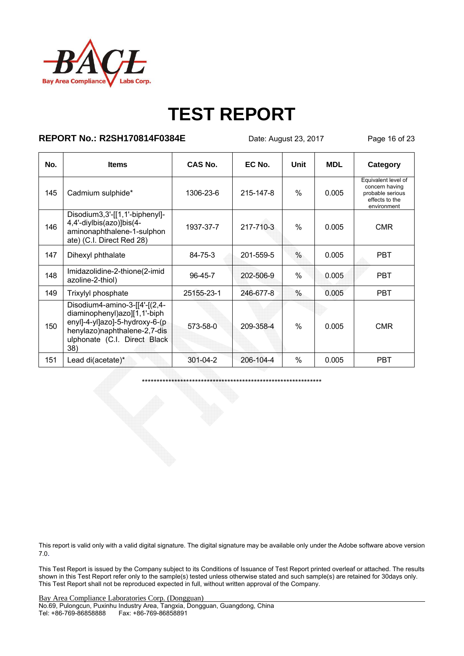

#### **REPORT No.: R2SH170814F0384E** Date: August 23, 2017 Page 16 of 23

| No. | <b>Items</b>                                                                                                                                                               | CAS No.    | EC No.    | Unit          | <b>MDL</b> | Category                                                                                   |
|-----|----------------------------------------------------------------------------------------------------------------------------------------------------------------------------|------------|-----------|---------------|------------|--------------------------------------------------------------------------------------------|
| 145 | Cadmium sulphide*                                                                                                                                                          | 1306-23-6  | 215-147-8 | $\frac{0}{0}$ | 0.005      | Equivalent level of<br>concern having<br>probable serious<br>effects to the<br>environment |
| 146 | Disodium3,3'-[[1,1'-biphenyl]-<br>4,4'-diylbis(azo)]bis(4-<br>aminonaphthalene-1-sulphon<br>ate) (C.I. Direct Red 28)                                                      | 1937-37-7  | 217-710-3 | $\frac{0}{0}$ | 0.005      | <b>CMR</b>                                                                                 |
| 147 | Dihexyl phthalate                                                                                                                                                          | 84-75-3    | 201-559-5 | $\frac{0}{0}$ | 0.005      | <b>PBT</b>                                                                                 |
| 148 | Imidazolidine-2-thione(2-imid<br>azoline-2-thiol)                                                                                                                          | 96-45-7    | 202-506-9 | $\%$          | 0.005      | <b>PBT</b>                                                                                 |
| 149 | Trixylyl phosphate                                                                                                                                                         | 25155-23-1 | 246-677-8 | $\frac{0}{0}$ | 0.005      | <b>PBT</b>                                                                                 |
| 150 | Disodium4-amino-3- $[4 - (2, 4 -$<br>diaminophenyl)azo][1,1'-biph<br>enyl]-4-yl]azo]-5-hydroxy-6-(p<br>henylazo)naphthalene-2,7-dis<br>ulphonate (C.I. Direct Black<br>38) | 573-58-0   | 209-358-4 | $\frac{0}{0}$ | 0.005      | <b>CMR</b>                                                                                 |
| 151 | Lead di(acetate)*                                                                                                                                                          | 301-04-2   | 206-104-4 | $\%$          | 0.005      | <b>PBT</b>                                                                                 |

\*\*\*\*\*\*\*\*\*\*\*\*\*\*\*\*\*\*\*\*\*\*\*\*\*\*\*\*\*\*\*\*\*\*\*\*\*\*\*\*\*\*\*\*\*\*\*\*\*\*\*\*\*\*\*\*\*\*\*\*\*

This report is valid only with a valid digital signature. The digital signature may be available only under the Adobe software above version 7.0.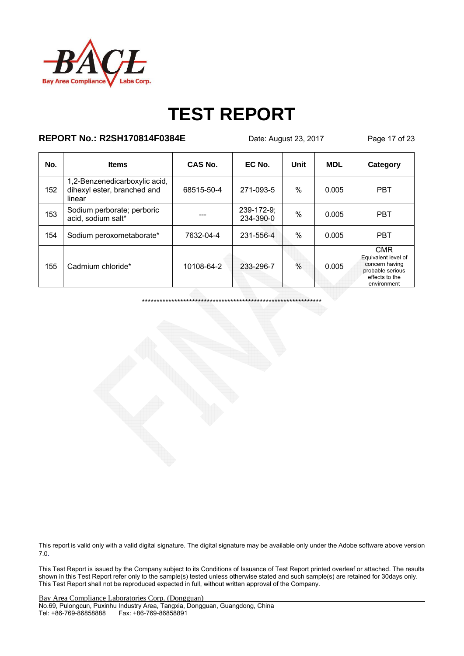

#### **REPORT No.: R2SH170814F0384E** Date: August 23, 2017 Page 17 of 23

| No. | <b>Items</b>                                                           | CAS No.    | EC No.                    | Unit          | <b>MDL</b> | Category                                                                                                 |
|-----|------------------------------------------------------------------------|------------|---------------------------|---------------|------------|----------------------------------------------------------------------------------------------------------|
| 152 | 1,2-Benzenedicarboxylic acid,<br>dihexyl ester, branched and<br>linear | 68515-50-4 | 271-093-5                 | $\%$          | 0.005      | <b>PBT</b>                                                                                               |
| 153 | Sodium perborate; perboric<br>acid, sodium salt*                       |            | $239-172-9;$<br>234-390-0 | $\frac{0}{0}$ | 0.005      | <b>PBT</b>                                                                                               |
| 154 | Sodium peroxometaborate*                                               | 7632-04-4  | 231-556-4                 | $\%$          | 0.005      | <b>PBT</b>                                                                                               |
| 155 | Cadmium chloride*                                                      | 10108-64-2 | 233-296-7                 | $\frac{0}{0}$ | 0.005      | <b>CMR</b><br>Equivalent level of<br>concern having<br>probable serious<br>effects to the<br>environment |

\*\*\*\*\*\*\*\*\*\*\*\*\*\*\*\*\*\*\*\*\*\*\*\*\*\*\*\*\*\*\*\*\*\*\*\*\*\*\*\*\*\*\*\*\*\*\*\*\*\*\*\*\*\*\*\*\*\*\*\*\*

This report is valid only with a valid digital signature. The digital signature may be available only under the Adobe software above version 7.0.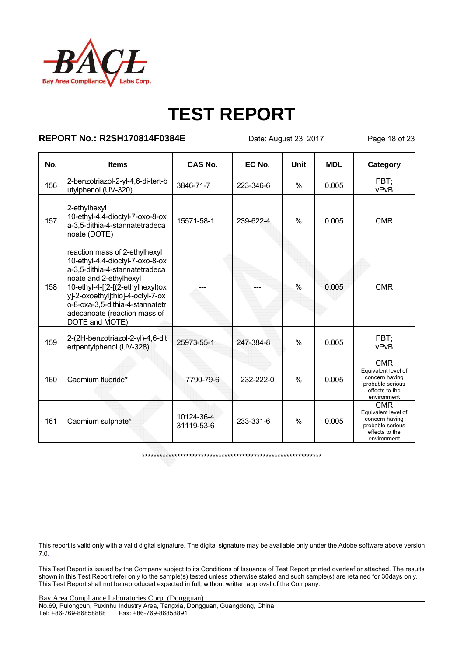

#### **REPORT No.: R2SH170814F0384E** Date: August 23, 2017 Page 18 of 23

| No. | <b>Items</b>                                                                                                                                                                                                                                                                              | CAS No.                  | EC No.    | Unit          | <b>MDL</b> | Category                                                                                                 |
|-----|-------------------------------------------------------------------------------------------------------------------------------------------------------------------------------------------------------------------------------------------------------------------------------------------|--------------------------|-----------|---------------|------------|----------------------------------------------------------------------------------------------------------|
| 156 | 2-benzotriazol-2-yl-4,6-di-tert-b<br>utylphenol (UV-320)                                                                                                                                                                                                                                  | 3846-71-7                | 223-346-6 | $\%$          | 0.005      | PBT:<br>vPvB                                                                                             |
| 157 | 2-ethylhexyl<br>10-ethyl-4,4-dioctyl-7-oxo-8-ox<br>a-3,5-dithia-4-stannatetradeca<br>noate (DOTE)                                                                                                                                                                                         | 15571-58-1               | 239-622-4 | $\frac{0}{0}$ | 0.005      | <b>CMR</b>                                                                                               |
| 158 | reaction mass of 2-ethylhexyl<br>10-ethyl-4,4-dioctyl-7-oxo-8-ox<br>a-3,5-dithia-4-stannatetradeca<br>noate and 2-ethylhexyl<br>10-ethyl-4-[[2-[(2-ethylhexyl)ox<br>y]-2-oxoethyl]thio]-4-octyl-7-ox<br>o-8-oxa-3,5-dithia-4-stannatetr<br>adecanoate (reaction mass of<br>DOTE and MOTE) |                          |           | $\frac{0}{0}$ | 0.005      | <b>CMR</b>                                                                                               |
| 159 | 2-(2H-benzotriazol-2-yl)-4,6-dit<br>ertpentylphenol (UV-328)                                                                                                                                                                                                                              | 25973-55-1               | 247-384-8 | $\frac{0}{0}$ | 0.005      | PBT:<br>vPvB                                                                                             |
| 160 | Cadmium fluoride*                                                                                                                                                                                                                                                                         | 7790-79-6                | 232-222-0 | $\%$          | 0.005      | <b>CMR</b><br>Equivalent level of<br>concern having<br>probable serious<br>effects to the<br>environment |
| 161 | Cadmium sulphate*                                                                                                                                                                                                                                                                         | 10124-36-4<br>31119-53-6 | 233-331-6 | $\frac{0}{0}$ | 0.005      | CMR<br>Equivalent level of<br>concern having<br>probable serious<br>effects to the<br>environment        |

\*\*\*\*\*\*\*\*\*\*\*\*\*\*\*\*\*\*\*\*\*\*\*\*\*\*\*\*\*\*\*\*\*\*\*\*\*\*\*\*\*\*\*\*\*\*\*\*\*\*\*\*\*\*\*\*\*\*\*\*\*

This report is valid only with a valid digital signature. The digital signature may be available only under the Adobe software above version 7.0.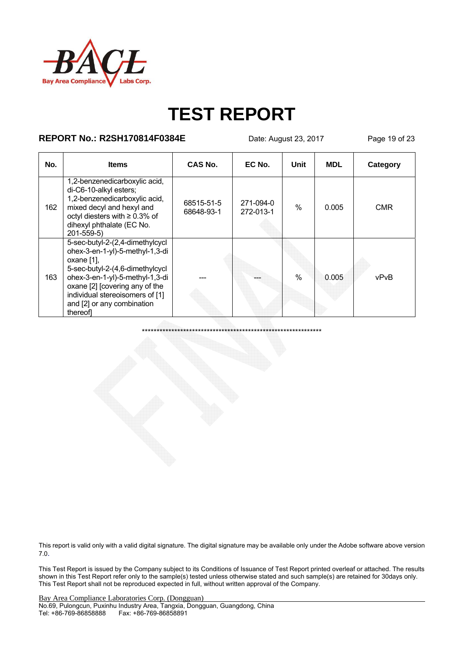

#### **REPORT No.: R2SH170814F0384E** Date: August 23, 2017 Page 19 of 23

| No. | <b>Items</b>                                                                                                                                                                                                                                                          | CAS No.                  | EC No.                 | Unit          | <b>MDL</b> | Category   |
|-----|-----------------------------------------------------------------------------------------------------------------------------------------------------------------------------------------------------------------------------------------------------------------------|--------------------------|------------------------|---------------|------------|------------|
| 162 | 1,2-benzenedicarboxylic acid,<br>di-C6-10-alkyl esters;<br>1,2-benzenedicarboxylic acid,<br>mixed decyl and hexyl and<br>octyl diesters with ≥ 0.3% of<br>dihexyl phthalate (EC No.<br>$201 - 559 - 5$                                                                | 68515-51-5<br>68648-93-1 | 271-094-0<br>272-013-1 | $\%$          | 0.005      | <b>CMR</b> |
| 163 | 5-sec-butyl-2-(2,4-dimethylcycl<br>ohex-3-en-1-yl)-5-methyl-1,3-di<br>oxane [1],<br>5-sec-butyl-2-(4,6-dimethylcycl<br>ohex-3-en-1-yl)-5-methyl-1,3-di<br>oxane [2] [covering any of the<br>individual stereoisomers of [1]<br>and [2] or any combination<br>thereofl |                          |                        | $\frac{0}{0}$ | 0.005      | vPvB       |

\*\*\*\*\*\*\*\*\*\*\*\*\*\*\*\*\*\*\*\*\*\*\*\*\*\*\*\*\*\*\*\*\*\*\*\*\*\*\*\*\*\*\*\*\*\*\*\*\*\*\*\*\*\*\*\*\*\*\*\*\*

This report is valid only with a valid digital signature. The digital signature may be available only under the Adobe software above version 7.0.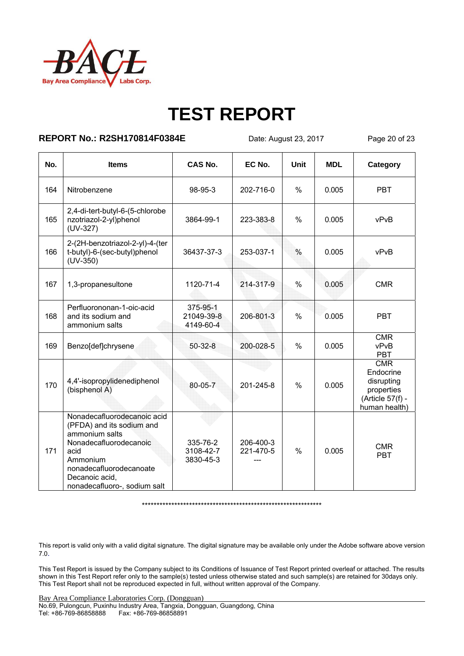

### **REPORT No.: R2SH170814F0384E** Date: August 23, 2017 Page 20 of 23

| No. | <b>Items</b>                                                                                                                                                                                          | <b>CAS No.</b>                      | EC No.                 | Unit          | <b>MDL</b> | Category                                                                          |
|-----|-------------------------------------------------------------------------------------------------------------------------------------------------------------------------------------------------------|-------------------------------------|------------------------|---------------|------------|-----------------------------------------------------------------------------------|
| 164 | Nitrobenzene                                                                                                                                                                                          | 98-95-3                             | 202-716-0              | $\frac{0}{0}$ | 0.005      | <b>PBT</b>                                                                        |
| 165 | 2,4-di-tert-butyl-6-(5-chlorobe<br>nzotriazol-2-yl)phenol<br>(UV-327)                                                                                                                                 | 3864-99-1                           | 223-383-8              | $\%$          | 0.005      | vPvB                                                                              |
| 166 | 2-(2H-benzotriazol-2-yl)-4-(ter<br>t-butyl)-6-(sec-butyl)phenol<br>$(UV-350)$                                                                                                                         | 36437-37-3                          | 253-037-1              | $\frac{0}{0}$ | 0.005      | vPvB                                                                              |
| 167 | 1,3-propanesultone                                                                                                                                                                                    | 1120-71-4                           | 214-317-9              | $\frac{0}{0}$ | 0.005      | <b>CMR</b>                                                                        |
| 168 | Perfluorononan-1-oic-acid<br>and its sodium and<br>ammonium salts                                                                                                                                     | 375-95-1<br>21049-39-8<br>4149-60-4 | 206-801-3              | $\frac{0}{0}$ | 0.005      | <b>PBT</b>                                                                        |
| 169 | Benzo[def]chrysene                                                                                                                                                                                    | $50 - 32 - 8$                       | 200-028-5              | $\%$          | 0.005      | <b>CMR</b><br>vPvB<br><b>PBT</b>                                                  |
| 170 | 4,4'-isopropylidenediphenol<br>(bisphenol A)                                                                                                                                                          | 80-05-7                             | 201-245-8              | $\frac{0}{0}$ | 0.005      | CMR<br>Endocrine<br>disrupting<br>properties<br>(Article 57(f) -<br>human health) |
| 171 | Nonadecafluorodecanoic acid<br>(PFDA) and its sodium and<br>ammonium salts<br>Nonadecafluorodecanoic<br>acid<br>Ammonium<br>nonadecafluorodecanoate<br>Decanoic acid.<br>nonadecafluoro-, sodium salt | 335-76-2<br>3108-42-7<br>3830-45-3  | 206-400-3<br>221-470-5 | $\frac{0}{0}$ | 0.005      | <b>CMR</b><br><b>PBT</b>                                                          |

\*\*\*\*\*\*\*\*\*\*\*\*\*\*\*\*\*\*\*\*\*\*\*\*\*\*\*\*\*\*\*\*\*\*\*\*\*\*\*\*\*\*\*\*\*\*\*\*\*\*\*\*\*\*\*\*\*\*\*\*\*

This report is valid only with a valid digital signature. The digital signature may be available only under the Adobe software above version 7.0.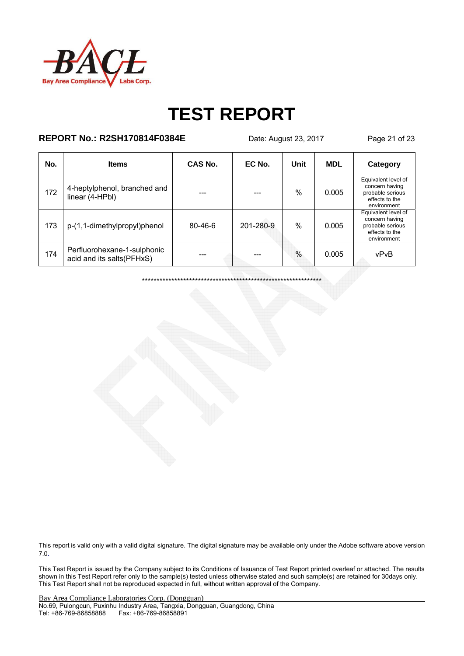

#### **REPORT No.: R2SH170814F0384E** Date: August 23, 2017 Page 21 of 23

| No. | <b>Items</b>                                             | CAS No.       | EC No.    | Unit          | <b>MDL</b> | Category                                                                                   |
|-----|----------------------------------------------------------|---------------|-----------|---------------|------------|--------------------------------------------------------------------------------------------|
| 172 | 4-heptylphenol, branched and<br>linear (4-HPbl)          |               |           | $\frac{0}{0}$ | 0.005      | Equivalent level of<br>concern having<br>probable serious<br>effects to the<br>environment |
| 173 | p-(1,1-dimethylpropyl)phenol                             | $80 - 46 - 6$ | 201-280-9 | $\frac{0}{0}$ | 0.005      | Equivalent level of<br>concern having<br>probable serious<br>effects to the<br>environment |
| 174 | Perfluorohexane-1-sulphonic<br>acid and its salts(PFHxS) | ---           |           | $\frac{0}{0}$ | 0.005      | vPvB                                                                                       |

\*\*\*\*\*\*\*\*\*\*\*\*\*\*\*\*\*\*\*\*\*\*\*\*\*\*\*\*\*\*\*\*\*\*\*\*\*\*\*\*\*\*\*\*\*\*\*\*\*\*\*\*\*\*\*\*\*\*\*\*\*

This report is valid only with a valid digital signature. The digital signature may be available only under the Adobe software above version 7.0.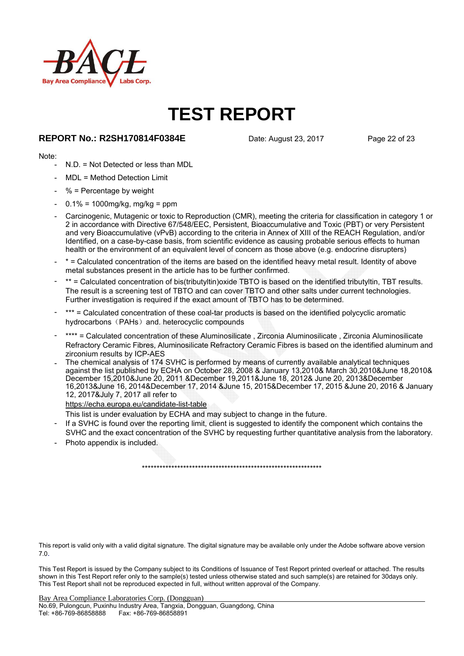

#### **REPORT No.: R2SH170814F0384E** Date: August 23, 2017 Page 22 of 23

#### Note:

- N.D. = Not Detected or less than MDL
- MDL = Method Detection Limit
- $%$  = Percentage by weight
- 0.1% = 1000mg/kg, mg/kg = ppm
- Carcinogenic, Mutagenic or toxic to Reproduction (CMR), meeting the criteria for classification in category 1 or 2 in accordance with Directive 67/548/EEC, Persistent, Bioaccumulative and Toxic (PBT) or very Persistent and very Bioaccumulative (vPvB) according to the criteria in Annex of XIII of the REACH Regulation, and/or Identified, on a case-by-case basis, from scientific evidence as causing probable serious effects to human health or the environment of an equivalent level of concern as those above (e.g. endocrine disrupters)
- \* = Calculated concentration of the items are based on the identified heavy metal result. Identity of above metal substances present in the article has to be further confirmed.
- \*\* = Calculated concentration of bis(tributyltin)oxide TBTO is based on the identified tributyltin, TBT results. The result is a screening test of TBTO and can cover TBTO and other salts under current technologies. Further investigation is required if the exact amount of TBTO has to be determined.
- \*\*\* = Calculated concentration of these coal-tar products is based on the identified polycyclic aromatic hydrocarbons (PAHs) and. heterocyclic compounds
- \*\*\*\* = Calculated concentration of these Aluminosilicate, Zirconia Aluminosilicate, Zirconia Aluminosilicate Refractory Ceramic Fibres, Aluminosilicate Refractory Ceramic Fibres is based on the identified aluminum and zirconium results by ICP-AES
- The chemical analysis of 174 SVHC is performed by means of currently available analytical techniques against the list published by ECHA on October 28, 2008 & January 13,2010& March 30,2010&June 18,2010& December 15,2010&June 20, 2011 &December 19,2011&June 18, 2012& June 20, 2013&December 16,2013&June 16, 2014&December 17, 2014 &June 15, 2015&December 17, 2015 &June 20, 2016 & January 12, 2017&July 7, 2017 all refer to

#### https://echa.europa.eu/candidate-list-table

This list is under evaluation by ECHA and may subject to change in the future.

- If a SVHC is found over the reporting limit, client is suggested to identify the component which contains the SVHC and the exact concentration of the SVHC by requesting further quantitative analysis from the laboratory.
- Photo appendix is included.

This report is valid only with a valid digital signature. The digital signature may be available only under the Adobe software above version 7.0.

\*\*\*\*\*\*\*\*\*\*\*\*\*\*\*\*\*\*\*\*\*\*\*\*\*\*\*\*\*\*\*\*\*\*\*\*\*\*\*\*\*\*\*\*\*\*\*\*\*\*\*\*\*\*\*\*\*\*\*\*\*